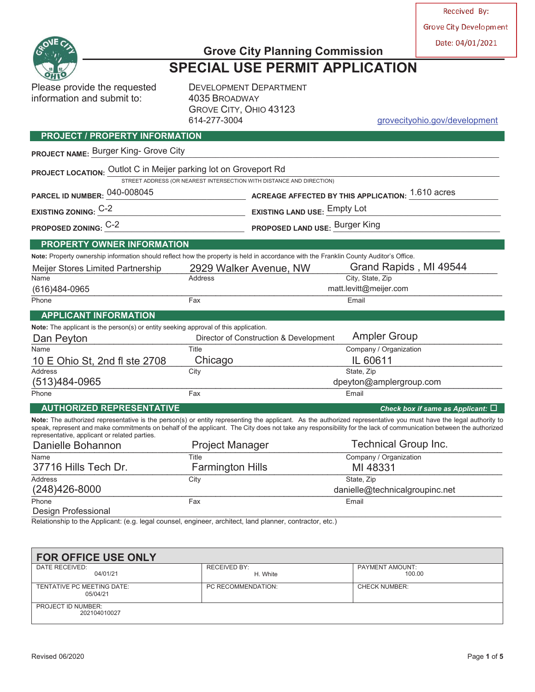Received By:

**Grove City Development** 

Date: 04/01/2021



# **Grove City Planning Commission SPECIAL USE PERMIT APPLICATION**

Please provide the requested DEVELOPMENT DEPARTMENT information and submit to: 4035 BROADWAY

**PROJECT / PROPERTY INFORMATION**

GROVE CITY, OHIO 43123 614-277-3004 grovecityohio.gov/development

### PROJECT NAME: Burger King- Grove City PROJECT LOCATION: <u>Outlot C in Meijer parking lot on Groveport Rd</u> STREET ADDRESS (OR NEAREST INTERSECTION WITH DISTANCE AND DIRECTION) **PARCEL ID NUMBER:** \_\_\_\_\_\_\_\_\_\_\_\_\_\_\_\_\_\_\_\_\_\_\_\_\_\_\_\_\_\_\_\_\_\_\_\_ **ACREAGE AFFECTED BY THIS APPLICATION:** \_\_\_\_\_\_\_\_\_\_\_\_\_\_\_\_\_\_\_\_\_\_\_ 040-008045 1.610 acres **EXISTING ZONING:** \_\_\_\_\_\_\_\_\_\_\_\_\_\_\_\_\_\_\_\_\_\_\_\_\_\_\_\_\_\_\_\_\_\_\_\_\_\_ **EXISTING LAND USE:** \_\_\_\_\_\_\_\_\_\_\_\_\_\_\_\_\_\_\_\_\_\_\_\_\_\_\_\_\_\_\_\_\_\_\_\_\_\_\_\_\_\_\_\_\_ C-2 Empty Lot **PROPOSED ZONING:** \_\_\_\_\_\_\_\_\_\_\_\_\_\_\_\_\_\_\_\_\_\_\_\_\_\_\_\_\_\_\_\_\_\_\_\_ **PROPOSED LAND USE:** \_\_\_\_\_\_\_\_\_\_\_\_\_\_\_\_\_\_\_\_\_\_\_\_\_\_\_\_\_\_\_\_\_\_\_\_\_\_\_\_\_\_\_ C-2 Burger King **PROPERTY OWNER INFORMATION Note:** Property ownership information should reflect how the property is held in accordance with the Franklin County Auditor's Office. Meijer Stores Limited Partnership 2929 Walker Avenue, NW Name **Address** City, State, Zip \_\_\_\_\_\_\_\_\_\_\_\_\_\_\_\_\_\_\_\_\_\_\_\_\_\_\_\_\_\_\_\_\_\_\_\_\_\_\_\_\_\_\_\_\_\_\_\_\_\_\_\_\_\_\_\_\_\_\_\_\_\_\_\_\_\_\_\_\_\_\_\_\_\_\_\_\_\_\_\_\_\_\_\_\_\_\_\_\_\_\_\_\_\_\_\_\_ (616)484-0965 matt.levitt@meijer.com Phone **Fax** Email **Fax** Email **Email Email APPLICANT INFORMATION Note:** The applicant is the person(s) or entity seeking approval of this application. Dan Peyton **Director of Construction & Development** Ampler Group Name Title Title Company / Organization 10 E Ohio St, 2nd fl ste 2708 Chicago IL 60611 Address City State, Zip  $(513)484\text{-}0965$  dpeyton@amplergroup.com Phone **Fax** Email **Example 2** Email **Fax** Email **Email AUTHORIZED REPRESENTATIVE** *Check box if same as Applicant:* **Note:** The authorized representative is the person(s) or entity representing the applicant. As the authorized representative you must have the legal authority to speak, represent and make commitments on behalf of the applicant. The City does not take any responsibility for the lack of communication between the authorized representative, applicant or related parties. \_\_\_\_\_\_\_\_\_\_\_\_\_\_\_\_\_\_\_\_\_\_\_\_\_\_\_\_\_\_\_\_\_\_\_\_\_\_\_\_\_\_\_\_\_\_\_\_\_\_\_\_\_\_\_\_\_\_\_\_\_\_\_\_\_\_\_\_\_\_\_\_\_\_\_\_\_\_\_\_\_\_\_\_\_\_\_\_\_\_\_\_\_\_\_\_\_ Company / Organization 37716 Hills Tech Dr. Farmington Hills **Facture 10** MI 48331<br>
Reddress State, Zip Address City State, Zip \_\_\_\_\_\_\_\_\_\_\_\_\_\_\_\_\_\_\_\_\_\_\_\_\_\_\_\_\_\_\_\_\_\_\_\_\_\_\_\_\_\_\_\_\_\_\_\_\_\_\_\_\_\_\_\_\_\_\_\_\_\_\_\_\_\_\_\_\_\_\_\_\_\_\_\_\_\_\_\_\_\_\_\_\_\_\_\_\_\_\_\_\_\_\_\_\_ (248)426-8000 danielle@technicalgroupinc.net Phone **Fax Email Email Contract Contract Contract Contract Contract Contract Contract Contract Contract Contract Contract Contract Contract Contract Contract Contract Contract Contract Contract Contract Contract Contract C**  $\square$ esign Professional and the contract of the contract of the contract of the contract of the contract of the contract of the contract of the contract of the contract of the contract of the contract of the contract of the Grand Rapids, MI 49544 Technical Group Inc. 37716 Hills Tech Dr.

Relationship to the Applicant: (e.g. legal counsel, engineer, architect, land planner, contractor, etc.)

| <b>FOR OFFICE USE ONLY</b> |                      |  |  |  |  |  |
|----------------------------|----------------------|--|--|--|--|--|
| <b>RECEIVED BY:</b>        | PAYMENT AMOUNT:      |  |  |  |  |  |
|                            | 100.00               |  |  |  |  |  |
| PC RECOMMENDATION:         | <b>CHECK NUMBER:</b> |  |  |  |  |  |
|                            |                      |  |  |  |  |  |
|                            |                      |  |  |  |  |  |
|                            |                      |  |  |  |  |  |
|                            | H. White             |  |  |  |  |  |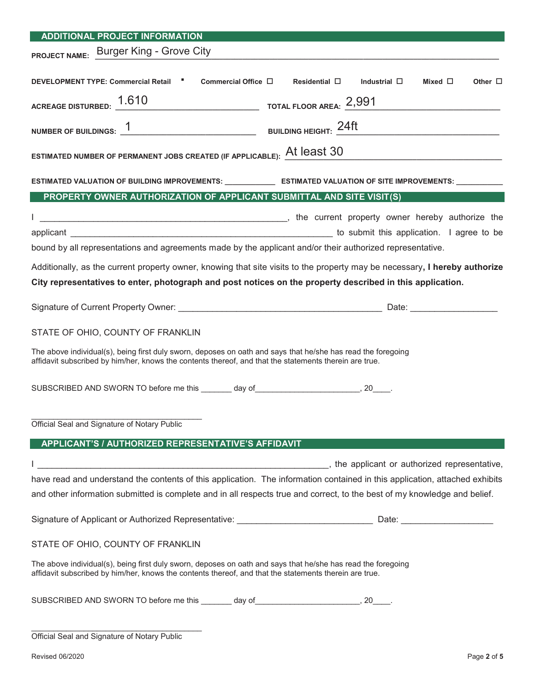| <b>ADDITIONAL PROJECT INFORMATION</b>                                                                                                                                                                                  |  |  |  |  |
|------------------------------------------------------------------------------------------------------------------------------------------------------------------------------------------------------------------------|--|--|--|--|
| PROJECT NAME: Burger King - Grove City                                                                                                                                                                                 |  |  |  |  |
| DEVELOPMENT TYPE: Commercial Retail "<br>Commercial Office $\square$ Residential $\square$<br>Mixed $\Box$<br>Industrial $\square$<br>Other $\Box$                                                                     |  |  |  |  |
| ACREAGE DISTURBED: $1.610$ TOTAL FLOOR AREA: $2,991$                                                                                                                                                                   |  |  |  |  |
| NUMBER OF BUILDINGS: $1$<br>BUILDING HEIGHT: $24\text{ft}$                                                                                                                                                             |  |  |  |  |
| ESTIMATED NUMBER OF PERMANENT JOBS CREATED (IF APPLICABLE): At least 30                                                                                                                                                |  |  |  |  |
| ESTIMATED VALUATION OF BUILDING IMPROVEMENTS: _______________ ESTIMATED VALUATION OF SITE IMPROVEMENTS: ___________                                                                                                    |  |  |  |  |
| PROPERTY OWNER AUTHORIZATION OF APPLICANT SUBMITTAL AND SITE VISIT(S)                                                                                                                                                  |  |  |  |  |
|                                                                                                                                                                                                                        |  |  |  |  |
| to submit this application. I agree to be                                                                                                                                                                              |  |  |  |  |
| bound by all representations and agreements made by the applicant and/or their authorized representative.                                                                                                              |  |  |  |  |
|                                                                                                                                                                                                                        |  |  |  |  |
| Additionally, as the current property owner, knowing that site visits to the property may be necessary, I hereby authorize                                                                                             |  |  |  |  |
| City representatives to enter, photograph and post notices on the property described in this application.                                                                                                              |  |  |  |  |
|                                                                                                                                                                                                                        |  |  |  |  |
| STATE OF OHIO, COUNTY OF FRANKLIN                                                                                                                                                                                      |  |  |  |  |
| The above individual(s), being first duly sworn, deposes on oath and says that he/she has read the foregoing<br>affidavit subscribed by him/her, knows the contents thereof, and that the statements therein are true. |  |  |  |  |
| SUBSCRIBED AND SWORN TO before me this _______ day of __________________________, 20_____.                                                                                                                             |  |  |  |  |
|                                                                                                                                                                                                                        |  |  |  |  |
| Official Seal and Signature of Notary Public                                                                                                                                                                           |  |  |  |  |
| APPLICANT'S / AUTHORIZED REPRESENTATIVE'S AFFIDAVIT                                                                                                                                                                    |  |  |  |  |
| he applicant or authorized representative,                                                                                                                                                                             |  |  |  |  |
| have read and understand the contents of this application. The information contained in this application, attached exhibits                                                                                            |  |  |  |  |
| and other information submitted is complete and in all respects true and correct, to the best of my knowledge and belief.                                                                                              |  |  |  |  |
|                                                                                                                                                                                                                        |  |  |  |  |
| STATE OF OHIO, COUNTY OF FRANKLIN                                                                                                                                                                                      |  |  |  |  |
| The above individual(s), being first duly sworn, deposes on oath and says that he/she has read the foregoing<br>affidavit subscribed by him/her, knows the contents thereof, and that the statements therein are true. |  |  |  |  |
| SUBSCRIBED AND SWORN TO before me this ________ day of__________________________, 20_____.                                                                                                                             |  |  |  |  |
| Official Seal and Signature of Notary Public                                                                                                                                                                           |  |  |  |  |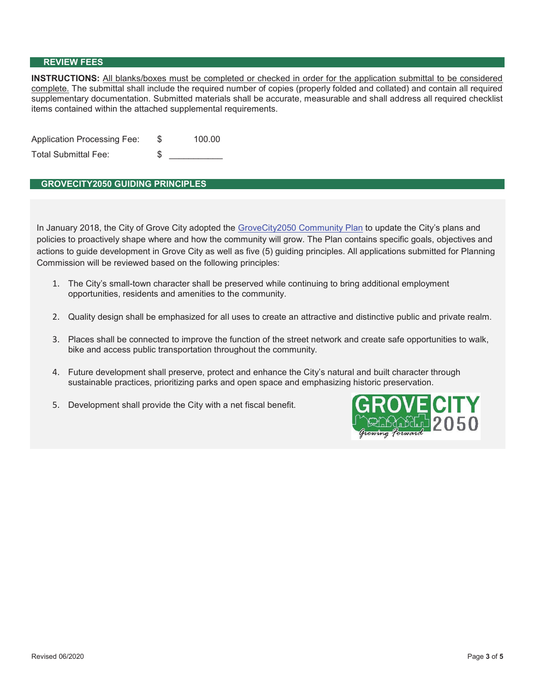#### **REVIEW FEES**

**INSTRUCTIONS:** All blanks/boxes must be completed or checked in order for the application submittal to be considered complete. The submittal shall include the required number of copies (properly folded and collated) and contain all required supplementary documentation. Submitted materials shall be accurate, measurable and shall address all required checklist items contained within the attached supplemental requirements.

| <b>Application Processing Fee:</b> | 100.00 |
|------------------------------------|--------|
| Total Submittal Fee:               |        |

### **GROVECITY2050 GUIDING PRINCIPLES**

In January 2018, the City of Grove City adopted the GroveCity2050 Community Plan to update the City's plans and policies to proactively shape where and how the community will grow. The Plan contains specific goals, objectives and actions to guide development in Grove City as well as five (5) guiding principles. All applications submitted for Planning Commission will be reviewed based on the following principles:

- 1. The City's small-town character shall be preserved while continuing to bring additional employment opportunities, residents and amenities to the community.
- 2. Quality design shall be emphasized for all uses to create an attractive and distinctive public and private realm.
- 3. Places shall be connected to improve the function of the street network and create safe opportunities to walk, bike and access public transportation throughout the community.
- 4. Future development shall preserve, protect and enhance the City's natural and built character through sustainable practices, prioritizing parks and open space and emphasizing historic preservation.
- 5. Development shall provide the City with a net fiscal benefit.

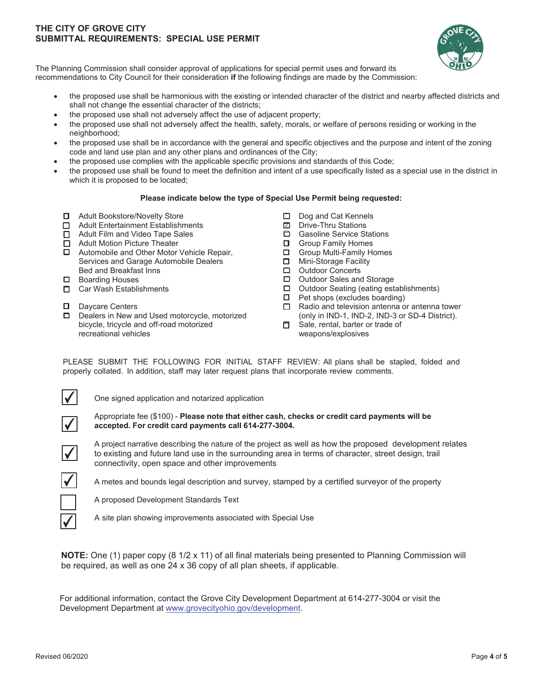#### **THE CITY OF GROVE CITY SUBMITTAL REQUIREMENTS: SPECIAL USE PERMIT**



The Planning Commission shall consider approval of applications for special permit uses and forward its recommendations to City Council for their consideration **if** the following findings are made by the Commission:

- the proposed use shall be harmonious with the existing or intended character of the district and nearby affected districts and shall not change the essential character of the districts;
- the proposed use shall not adversely affect the use of adjacent property;
- the proposed use shall not adversely affect the health, safety, morals, or welfare of persons residing or working in the neighborhood;
- the proposed use shall be in accordance with the general and specific objectives and the purpose and intent of the zoning code and land use plan and any other plans and ordinances of the City;
- the proposed use complies with the applicable specific provisions and standards of this Code;
- x the proposed use shall be found to meet the definition and intent of a use specifically listed as a special use in the district in which it is proposed to be located;

#### **Please indicate below the type of Special Use Permit being requested:**

- □ Adult Bookstore/Novelty Store
- □ Adult Entertainment Establishments
- □ Adult Film and Video Tape Sales
- □ Adult Motion Picture Theater
- □ Automobile and Other Motor Vehicle Repair, Services and Garage Automobile Dealers Bed and Breakfast Inns
- □ Boarding Houses
- □ Car Wash Establishments
- D Davcare Centers
- D Dealers in New and Used motorcycle, motorized bicycle, tricycle and off-road motorized recreational vehicles
- D Dog and Cat Kennels
- Drive-Thru Stations  $\Box$
- Gasoline Service Stations
- $\Box$  Group Family Homes
- Group Multi-Family Homes
- **D** Mini-Storage Facility
- □ Outdoor Concerts<br>□ Outdoor Sales and
- Outdoor Sales and Storage
- Outdoor Seating (eating establishments)
- $\Box$  Pet shops (excludes boarding)
- $\Box$  Radio and television antenna or antenna tower (only in IND-1, IND-2, IND-3 or SD-4 District).
- $\Box$  Sale, rental, barter or trade of weapons/explosives

PLEASE SUBMIT THE FOLLOWING FOR INITIAL STAFF REVIEW: All plans shall be stapled, folded and properly collated. In addition, staff may later request plans that incorporate review comments.



One signed application and notarized application



Appropriate fee (\$100) - Please note that either cash, checks or credit card payments will be accepted. For credit card payments call 614-277-3004.



A project narrative describing the nature of the project as well as how the proposed development relates to existing and future land use in the surrounding area in terms of character, street design, trail connectivity, open space and other improvements



A metes and bounds legal description and survey, stamped by a certified surveyor of the property

A proposed Development Standards Text



A site plan showing improvements associated with Special Use

**NOTE:** One (1) paper copy (8 1/2 x 11) of all final materials being presented to Planning Commission will be required, as well as one 24  $\times$  36 copy of all plan sheets, if applicable.

For additional information, contact the Grove City Development Department at 614-277-3004 or visit the Development Department at www.grovecityohio.gov/development.